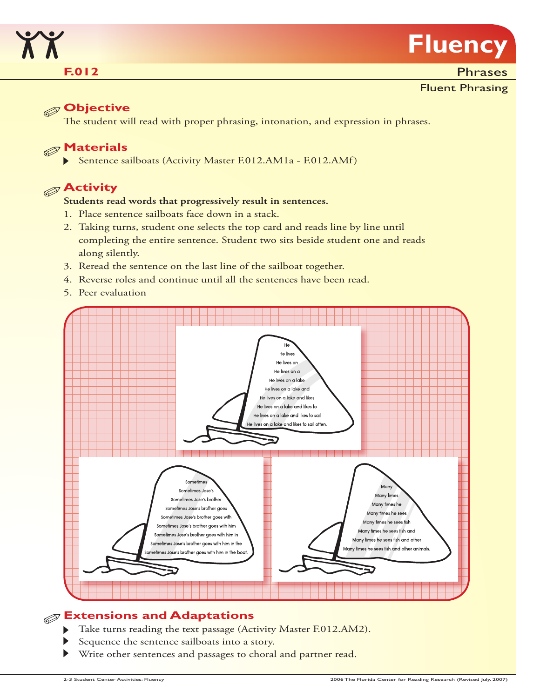

## **F.012**

**Phrases** 

#### Fluent Phrasing

# **Objective**

The student will read with proper phrasing, intonation, and expression in phrases.

# **Materials**

Sentence sailboats (Activity Master F.012.AM1a - F.012.AMf)

# **Activity**

#### **Students read words that progressively result in sentences.**

- 1. Place sentence sailboats face down in a stack.
- 2. Taking turns, student one selects the top card and reads line by line until completing the entire sentence. Student two sits beside student one and reads along silently.
- 3. Reread the sentence on the last line of the sailboat together.
- 4. Reverse roles and continue until all the sentences have been read.
- 5. Peer evaluation



### **Extensions and Adaptations**

- Take turns reading the text passage (Activity Master F.012.AM2).  $\blacktriangleright$
- Sequence the sentence sailboats into a story.
- Write other sentences and passages to choral and partner read.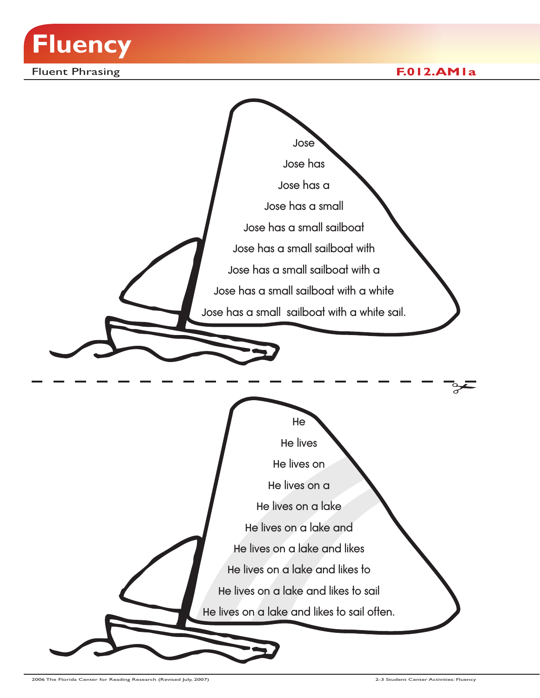

Fluent Phrasing **F.012.AM1a**

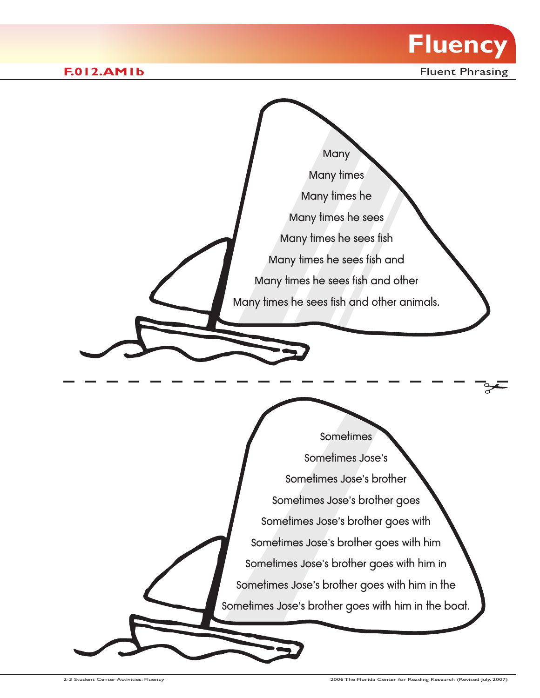



Fluent Phrasing

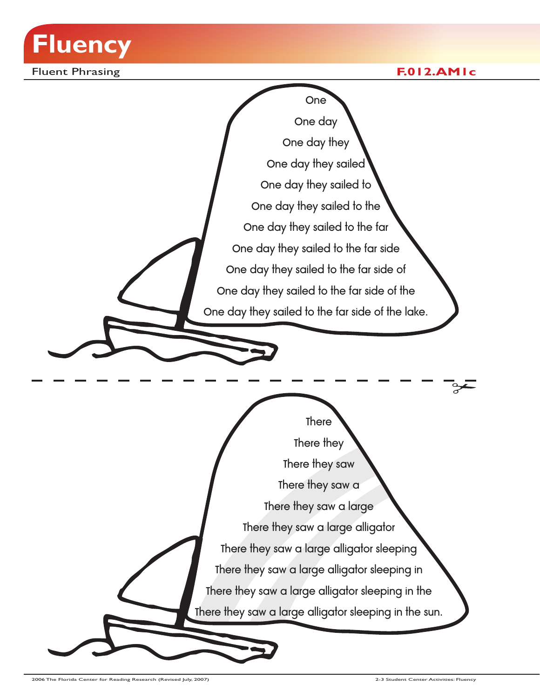

Fluent Phrasing **F.012.AM1c**

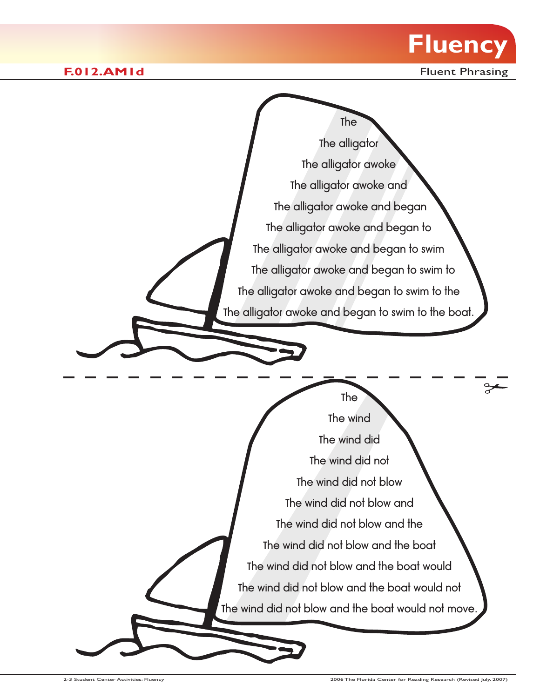

**F.012.AM1d F.012.AM1d FIGULARY** 

The The wind The wind did The wind did not The wind did not blow The wind did not blow and The wind did not blow and the The wind did not blow and the boat The wind did not blow and the boat would The wind did not blow and the boat would not The wind did not blow and the boat would not move The The alligator The alligator awoke The alligator awoke and The alligator awoke and began The alligator awoke and began to The alligator awoke and began to swim The alligator awoke and began to swim to The alligator awoke and began to swim to the The alligator awoke and began to swim to the boat.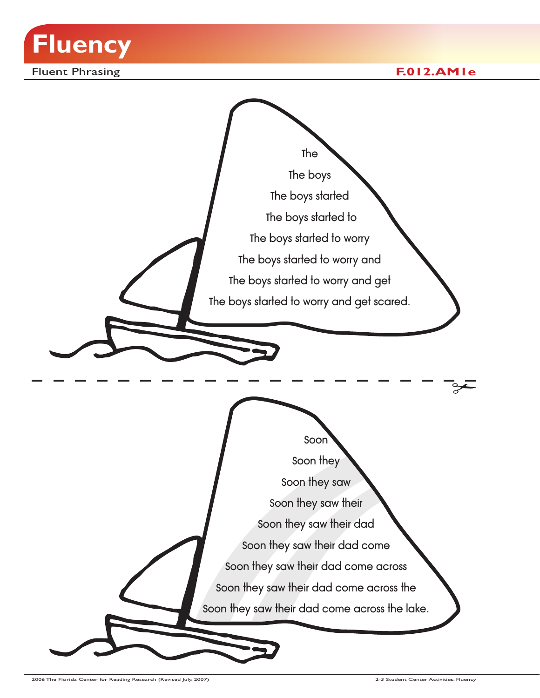

Fluent Phrasing **F.012.AM1e**

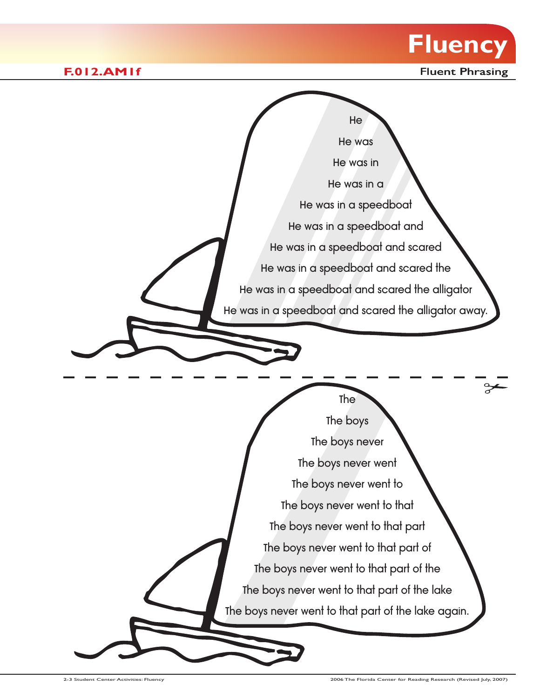



**F.012.AM1f F.012.AM1f FIGULARIZE**